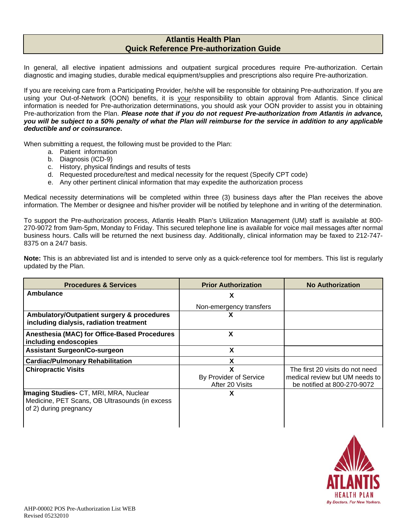## **Atlantis Health Plan Quick Reference Pre-authorization Guide**

In general, all elective inpatient admissions and outpatient surgical procedures require Pre-authorization. Certain diagnostic and imaging studies, durable medical equipment/supplies and prescriptions also require Pre-authorization.

If you are receiving care from a Participating Provider, he/she will be responsible for obtaining Pre-authorization. If you are using your Out-of-Network (OON) benefits, it is your responsibility to obtain approval from Atlantis. Since clinical information is needed for Pre-authorization determinations, you should ask your OON provider to assist you in obtaining Pre-authorization from the Plan. *Please note that if you do not request Pre-authorization from Atlantis in advance, you will be subject to a 50% penalty of what the Plan will reimburse for the service in addition to any applicable deductible and or coinsurance***.** 

When submitting a request, the following must be provided to the Plan:

- a. Patient information
- b. Diagnosis (ICD-9)
- c. History, physical findings and results of tests
- d. Requested procedure/test and medical necessity for the request (Specify CPT code)
- e. Any other pertinent clinical information that may expedite the authorization process

Medical necessity determinations will be completed within three (3) business days after the Plan receives the above information. The Member or designee and his/her provider will be notified by telephone and in writing of the determination.

To support the Pre-authorization process, Atlantis Health Plan's Utilization Management (UM) staff is available at 800- 270-9072 from 9am-5pm, Monday to Friday. This secured telephone line is available for voice mail messages after normal business hours. Calls will be returned the next business day. Additionally, clinical information may be faxed to 212-747- 8375 on a 24/7 basis.

**Note:** This is an abbreviated list and is intended to serve only as a quick-reference tool for members. This list is regularly updated by the Plan.

| <b>Procedures &amp; Services</b>                                                                                   | <b>Prior Authorization</b>                     | <b>No Authorization</b>                                                                          |
|--------------------------------------------------------------------------------------------------------------------|------------------------------------------------|--------------------------------------------------------------------------------------------------|
| Ambulance                                                                                                          | х                                              |                                                                                                  |
|                                                                                                                    | Non-emergency transfers                        |                                                                                                  |
| Ambulatory/Outpatient surgery & procedures<br>including dialysis, radiation treatment                              | х                                              |                                                                                                  |
| Anesthesia (MAC) for Office-Based Procedures<br>including endoscopies                                              | X                                              |                                                                                                  |
| <b>Assistant Surgeon/Co-surgeon</b>                                                                                | x                                              |                                                                                                  |
| <b>Cardiac/Pulmonary Rehabilitation</b>                                                                            | x                                              |                                                                                                  |
| <b>Chiropractic Visits</b>                                                                                         | X<br>By Provider of Service<br>After 20 Visits | The first 20 visits do not need<br>medical review but UM needs to<br>be notified at 800-270-9072 |
| Imaging Studies- CT, MRI, MRA, Nuclear<br>Medicine, PET Scans, OB Ultrasounds (in excess<br>of 2) during pregnancy | X                                              |                                                                                                  |

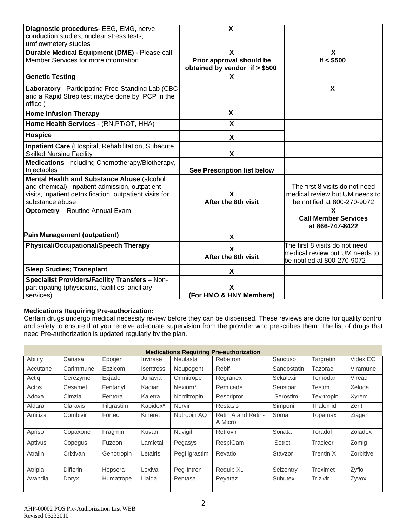| Diagnostic procedures- EEG, EMG, nerve<br>conduction studies, nuclear stress tests,<br>uroflowmetery studies | $\boldsymbol{\mathsf{X}}$      |                                |
|--------------------------------------------------------------------------------------------------------------|--------------------------------|--------------------------------|
|                                                                                                              |                                |                                |
| Durable Medical Equipment (DME) - Please call                                                                | X                              | X                              |
| Member Services for more information                                                                         | Prior approval should be       | If $<$ \$500                   |
|                                                                                                              | obtained by vendor if $> $500$ |                                |
| <b>Genetic Testing</b>                                                                                       | X                              |                                |
| Laboratory - Participating Free-Standing Lab (CBC                                                            |                                | $\boldsymbol{\mathsf{X}}$      |
| and a Rapid Strep test maybe done by PCP in the                                                              |                                |                                |
| office)                                                                                                      |                                |                                |
| <b>Home Infusion Therapy</b>                                                                                 | X                              |                                |
| Home Health Services - (RN, PT/OT, HHA)                                                                      | X                              |                                |
| <b>Hospice</b>                                                                                               | X                              |                                |
| Inpatient Care (Hospital, Rehabilitation, Subacute,                                                          |                                |                                |
| <b>Skilled Nursing Facility</b>                                                                              | X                              |                                |
|                                                                                                              |                                |                                |
| Medications- Including Chemotherapy/Biotherapy,                                                              |                                |                                |
| Injectables                                                                                                  | See Prescription list below    |                                |
| Mental Health and Substance Abuse (alcohol                                                                   |                                |                                |
| and chemical)- inpatient admission, outpatient                                                               |                                | The first 8 visits do not need |
| visits, inpatient detoxification, outpatient visits for                                                      | X                              | medical review but UM needs to |
| substance abuse                                                                                              | After the 8th visit            | be notified at 800-270-9072    |
| <b>Optometry</b> - Routine Annual Exam                                                                       |                                | $\mathbf{x}$                   |
|                                                                                                              |                                | <b>Call Member Services</b>    |
|                                                                                                              |                                | at 866-747-8422                |
| <b>Pain Management (outpatient)</b>                                                                          | X                              |                                |
| <b>Physical/Occupational/Speech Therapy</b>                                                                  |                                | The first 8 visits do not need |
|                                                                                                              | X                              | medical review but UM needs to |
|                                                                                                              | After the 8th visit            |                                |
|                                                                                                              |                                | be notified at 800-270-9072    |
| <b>Sleep Studies; Transplant</b>                                                                             | X                              |                                |
| <b>Specialist Providers/Facility Transfers - Non-</b>                                                        |                                |                                |
| participating (physicians, facilities, ancillary                                                             | X                              |                                |
| services)                                                                                                    | (For HMO & HNY Members)        |                                |

## **Medications Requiring Pre-authorization:**

Certain drugs undergo medical necessity review before they can be dispensed. These reviews are done for quality control and safety to ensure that you receive adequate supervision from the provider who prescribes them. The list of drugs that need Pre-authorization is updated regularly by the plan.

| <b>Medications Requiring Pre-authorization</b> |                 |            |                  |                     |                               |                  |                 |           |
|------------------------------------------------|-----------------|------------|------------------|---------------------|-------------------------------|------------------|-----------------|-----------|
| Abilify                                        | Canasa          | Epogen     | Invirase         | <b>Neulasta</b>     | Rebetron                      | Sancuso          | Targretin       | Videx EC  |
| Accutane                                       | Carimmune       | Epzicom    | <b>Isentress</b> | Neupogen)           | Rebif                         | Sandostatin      | Tazorac         | Viramune  |
| Actig                                          | Cerezyme        | Exjade     | Junavia          | Omnitrope           | Regranex                      | <b>Sekalexin</b> | Temodar         | Viread    |
| Actos                                          | Cesamet         | Fentanyl   | Kadian           | Nexium <sup>*</sup> | Remicade                      | Sensipar         | Testim          | Xeloda    |
| Adoxa                                          | Cimzia          | Fentora    | Kaletra          | Norditropin         | Rescriptor                    | Serostim         | Tev-tropin      | Xyrem     |
| Aldara                                         | Claravis        | Filgrastim | Kapidex*         | Norvir              | <b>Restasis</b>               | Simponi          | Thalomid        | Zerit     |
| Amitiza                                        | Combivir        | Forteo     | Kineret          | Nutropin AQ         | Retin A and Retin-<br>A Micro | Soma             | Topamax         | Ziagen    |
| Apriso                                         | Copaxone        | Fragmin    | Kuvan            | Nuvigil             | Retrovir                      | Sonata           | Toradol         | Zoladex   |
| Aptivus                                        | Copegus         | Fuzeon     | Lamictal         | Pegasys             | RespiGam                      | Sotret           | Tracleer        | Zomig     |
| Atralin                                        | Crixivan        | Genotropin | Letairis         | Pegfilgrastim       | Revatio                       | Stavzor          | Trentin X       | Zorbitive |
| Atripla                                        | <b>Differin</b> | Hepsera    | Lexiva           | Peg-Intron          | Requip XL                     | Selzentry        | <b>Treximet</b> | Zyflo     |
| Avandia                                        | Doryx           | Humatrope  | Lialda           | Pentasa             | Reyataz                       | Subutex          | Trizivir        | Zyvox     |